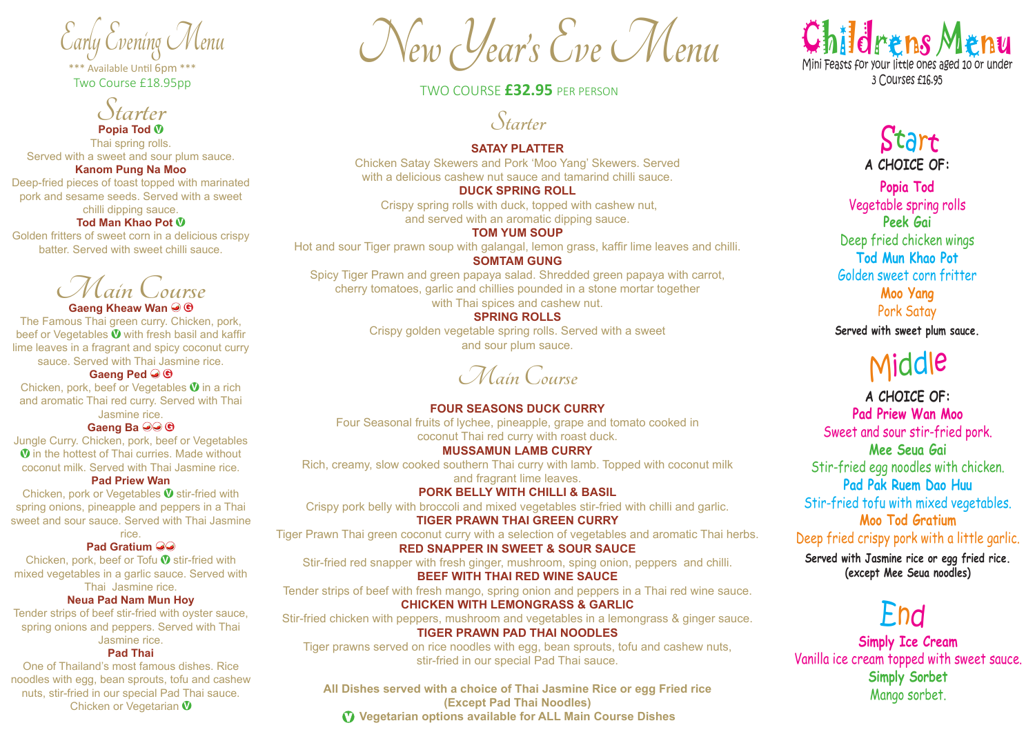\*\*\* Available Until 6pm \*\*\* Two Course £18.95pp

**Starter Popia Tod V**

Thai spring rolls. Served with a sweet and sour plum sauce.

**Kanom Pung Na Moo**

Deep-fried pieces of toast topped with marinated pork and sesame seeds. Served with a sweet

chilli dipping sauce.

**Tod Man Khao Pot V**

Golden fritters of sweet corn in a delicious crispy batter. Served with sweet chilli sauce.

**Main Course**

**Gaeng Kheaw Wan G**

The Famous Thai green curry. Chicken, pork, beef or Vegetables **V** with fresh basil and kaffir lime leaves in a fragrant and spicy coconut curry sauce. Served with Thai Jasmine rice.

**Gaeng Ped G**

Chicken, pork, beef or Vegetables **V** in a rich and aromatic Thai red curry. Served with Thai Jasmine rice.

**Gaeng Ba G**

Jungle Curry. Chicken, pork, beef or Vegetables **V** in the hottest of Thai curries. Made without coconut milk. Served with Thai Jasmine rice.

**Pad Priew Wan**

Chicken, pork or Vegetables **V** stir-fried with spring onions, pineapple and peppers in a Thai sweet and sour sauce. Served with Thai Jasmine rice.

**Pad Gratium**

Chicken, pork, beef or Tofu **V** stir-fried with mixed vegetables in a garlic sauce. Served with

Thai Jasmine rice.

**Neua Pad Nam Mun Hoy**

Tender strips of beef stir-fried with oyster sauce, spring onions and peppers. Served with Thai Jasmine rice.

## **Pad Thai**

One of Thailand's most famous dishes. Rice noodles with egg, bean sprouts, tofu and cashew nuts, stir-fried in our special Pad Thai sauce. Chicken or Vegetarian **V**

Early Evening Menu<br>
\*\*\* New Clear's Eve Menu

## TWO COURSE **£32.95** PER PERSON

**Starter**

**SATAY PLATTER**

Chicken Satay Skewers and Pork 'Moo Yang' Skewers. Served with a delicious cashew nut sauce and tamarind chilli sauce.

**DUCK SPRING ROLL**

Crispy spring rolls with duck, topped with cashew nut, and served with an aromatic dipping sauce.

**TOM YUM SOUP**  Hot and sour Tiger prawn soup with galangal, lemon grass, kaffir lime leaves and chilli.

**SOMTAM GUNG**

Spicy Tiger Prawn and green papaya salad. Shredded green papaya with carrot, cherry tomatoes, garlic and chillies pounded in a stone mortar together with Thai spices and cashew nut.

## **SPRING ROLLS**

Crispy golden vegetable spring rolls. Served with a sweet and sour plum sauce.

**Main Course**

**FOUR SEASONS DUCK CURRY** Four Seasonal fruits of lychee, pineapple, grape and tomato cooked in coconut Thai red curry with roast duck.

**MUSSAMUN LAMB CURRY**

Rich, creamy, slow cooked southern Thai curry with lamb. Topped with coconut milk and fragrant lime leaves.

**PORK BELLY WITH CHILLI & BASIL**

Crispy pork belly with broccoli and mixed vegetables stir-fried with chilli and garlic. **TIGER PRAWN THAI GREEN CURRY**

Tiger Prawn Thai green coconut curry with a selection of vegetables and aromatic Thai herbs.

**RED SNAPPER IN SWEET & SOUR SAUCE**

Stir-fried red snapper with fresh ginger, mushroom, sping onion, peppers and chilli. **BEEF WITH THAI RED WINE SAUCE**

Tender strips of beef with fresh mango, spring onion and peppers in a Thai red wine sauce.

**CHICKEN WITH LEMONGRASS & GARLIC**

Stir-fried chicken with peppers, mushroom and vegetables in a lemongrass & ginger sauce. **TIGER PRAWN PAD THAI NOODLES**

Tiger prawns served on rice noodles with egg, bean sprouts, tofu and cashew nuts, stir-fried in our special Pad Thai sauce.

**All Dishes served with a choice of Thai Jasmine Rice or egg Fried rice (Except Pad Thai Noodles) V Vegetarian options available for ALL Main Course Dishes**



Start **A CHOICE OF:**

**Popia Tod** Vegetable spring rolls **Peek Gai** Deep fried chicken wings **Tod Mun Khao Pot** Golden sweet corn fritter **Moo Yang** Pork Satay

**Served with sweet plum sauce.**

## Middle

**A CHOICE OF: Pad Priew Wan Moo** Sweet and sour stir-fried pork. **Mee Seua Gai** Stir-fried egg noodles with chicken. **Pad Pak Ruem Dao Huu** Stir-fried tofu with mixed vegetables. **Moo Tod Gratium** Deep fried crispy pork with a little garlic. **Served with Jasmine rice or egg fried rice. (except Mee Seua noodles)**

End

**Simply Ice Cream** Vanilla ice cream topped with sweet sauce. **Simply Sorbet** Mango sorbet.